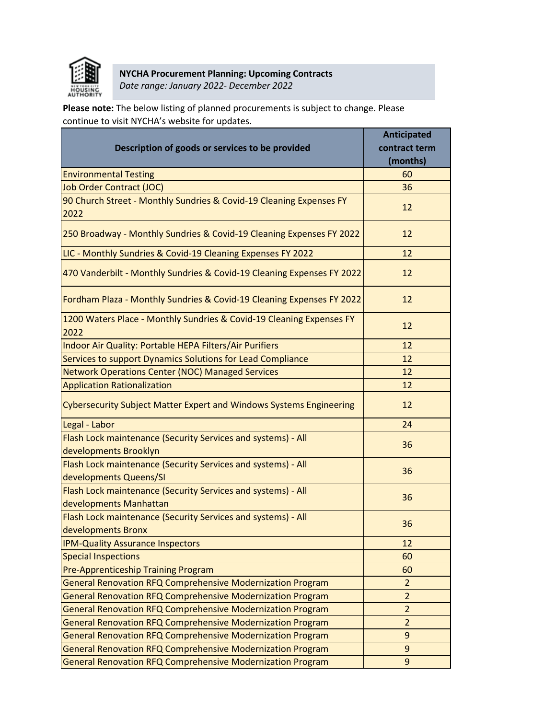

## **NYCHA Procurement Planning: Upcoming Contracts**  *Date range: January 2022- December 2022*

**Please note:** The below listing of planned procurements is subject to change. Please continue to visit NYCHA's website for updates.

|                                                                                        | <b>Anticipated</b> |
|----------------------------------------------------------------------------------------|--------------------|
| Description of goods or services to be provided                                        | contract term      |
|                                                                                        | (months)           |
| <b>Environmental Testing</b>                                                           | 60                 |
| <b>Job Order Contract (JOC)</b>                                                        | 36                 |
| 90 Church Street - Monthly Sundries & Covid-19 Cleaning Expenses FY<br>2022            | 12                 |
| 250 Broadway - Monthly Sundries & Covid-19 Cleaning Expenses FY 2022                   | 12                 |
| LIC - Monthly Sundries & Covid-19 Cleaning Expenses FY 2022                            | 12                 |
| 470 Vanderbilt - Monthly Sundries & Covid-19 Cleaning Expenses FY 2022                 | 12                 |
| Fordham Plaza - Monthly Sundries & Covid-19 Cleaning Expenses FY 2022                  | 12                 |
| 1200 Waters Place - Monthly Sundries & Covid-19 Cleaning Expenses FY<br>2022           | 12                 |
| Indoor Air Quality: Portable HEPA Filters/Air Purifiers                                | 12                 |
| Services to support Dynamics Solutions for Lead Compliance                             | 12                 |
| <b>Network Operations Center (NOC) Managed Services</b>                                | 12                 |
| <b>Application Rationalization</b>                                                     | 12                 |
| <b>Cybersecurity Subject Matter Expert and Windows Systems Engineering</b>             | 12                 |
| Legal - Labor                                                                          | 24                 |
| Flash Lock maintenance (Security Services and systems) - All                           | 36                 |
| developments Brooklyn                                                                  |                    |
| Flash Lock maintenance (Security Services and systems) - All                           | 36                 |
| developments Queens/SI                                                                 |                    |
| Flash Lock maintenance (Security Services and systems) - All<br>developments Manhattan | 36                 |
| Flash Lock maintenance (Security Services and systems) - All<br>developments Bronx     | 36                 |
| <b>IPM-Quality Assurance Inspectors</b>                                                | 12                 |
| <b>Special Inspections</b>                                                             | 60                 |
| Pre-Apprenticeship Training Program                                                    | 60                 |
| <b>General Renovation RFQ Comprehensive Modernization Program</b>                      | $\overline{2}$     |
| General Renovation RFQ Comprehensive Modernization Program                             | $\overline{2}$     |
| General Renovation RFQ Comprehensive Modernization Program                             | $\overline{2}$     |
| General Renovation RFQ Comprehensive Modernization Program                             | $\overline{2}$     |
| General Renovation RFQ Comprehensive Modernization Program                             | 9                  |
| General Renovation RFQ Comprehensive Modernization Program                             | 9                  |
| General Renovation RFQ Comprehensive Modernization Program                             | 9                  |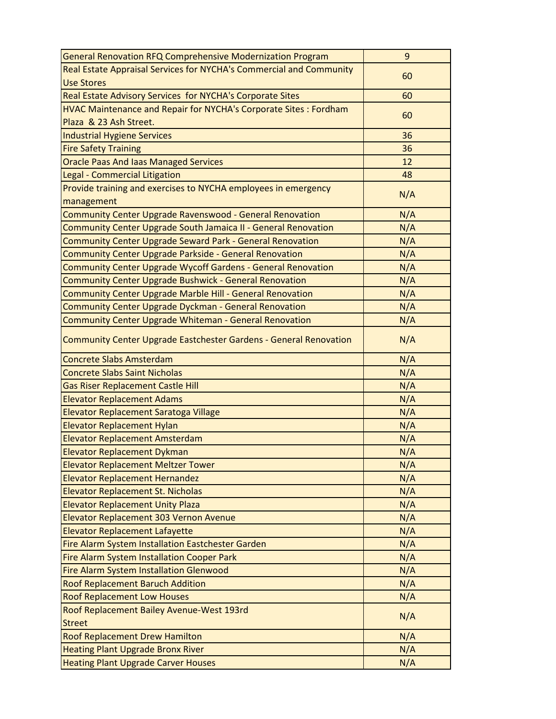| General Renovation RFQ Comprehensive Modernization Program              | 9   |
|-------------------------------------------------------------------------|-----|
| Real Estate Appraisal Services for NYCHA's Commercial and Community     | 60  |
| <b>Use Stores</b>                                                       |     |
| Real Estate Advisory Services for NYCHA's Corporate Sites               | 60  |
| <b>HVAC Maintenance and Repair for NYCHA's Corporate Sites: Fordham</b> |     |
| Plaza & 23 Ash Street.                                                  | 60  |
| Industrial Hygiene Services                                             | 36  |
| <b>Fire Safety Training</b>                                             | 36  |
| <b>Oracle Paas And laas Managed Services</b>                            | 12  |
| Legal - Commercial Litigation                                           | 48  |
| Provide training and exercises to NYCHA employees in emergency          | N/A |
| management                                                              |     |
| <b>Community Center Upgrade Ravenswood - General Renovation</b>         | N/A |
| Community Center Upgrade South Jamaica II - General Renovation          | N/A |
| <b>Community Center Upgrade Seward Park - General Renovation</b>        | N/A |
| Community Center Upgrade Parkside - General Renovation                  | N/A |
| <b>Community Center Upgrade Wycoff Gardens - General Renovation</b>     | N/A |
| <b>Community Center Upgrade Bushwick - General Renovation</b>           | N/A |
| <b>Community Center Upgrade Marble Hill - General Renovation</b>        | N/A |
| <b>Community Center Upgrade Dyckman - General Renovation</b>            | N/A |
| Community Center Upgrade Whiteman - General Renovation                  | N/A |
| Community Center Upgrade Eastchester Gardens - General Renovation       | N/A |
| <b>Concrete Slabs Amsterdam</b>                                         | N/A |
| <b>Concrete Slabs Saint Nicholas</b>                                    | N/A |
| <b>Gas Riser Replacement Castle Hill</b>                                | N/A |
| <b>Elevator Replacement Adams</b>                                       | N/A |
| Elevator Replacement Saratoga Village                                   | N/A |
| <b>Elevator Replacement Hylan</b>                                       | N/A |
| <b>Elevator Replacement Amsterdam</b>                                   | N/A |
| <b>Elevator Replacement Dykman</b>                                      | N/A |
| <b>Elevator Replacement Meltzer Tower</b>                               | N/A |
| <b>Elevator Replacement Hernandez</b>                                   | N/A |
| <b>Elevator Replacement St. Nicholas</b>                                | N/A |
| <b>Elevator Replacement Unity Plaza</b>                                 | N/A |
| Elevator Replacement 303 Vernon Avenue                                  | N/A |
| <b>Elevator Replacement Lafayette</b>                                   | N/A |
| Fire Alarm System Installation Eastchester Garden                       | N/A |
| Fire Alarm System Installation Cooper Park                              | N/A |
| Fire Alarm System Installation Glenwood                                 | N/A |
| <b>Roof Replacement Baruch Addition</b>                                 | N/A |
| <b>Roof Replacement Low Houses</b>                                      | N/A |
| Roof Replacement Bailey Avenue-West 193rd<br><b>Street</b>              | N/A |
| <b>Roof Replacement Drew Hamilton</b>                                   | N/A |
| <b>Heating Plant Upgrade Bronx River</b>                                | N/A |
| <b>Heating Plant Upgrade Carver Houses</b>                              | N/A |
|                                                                         |     |